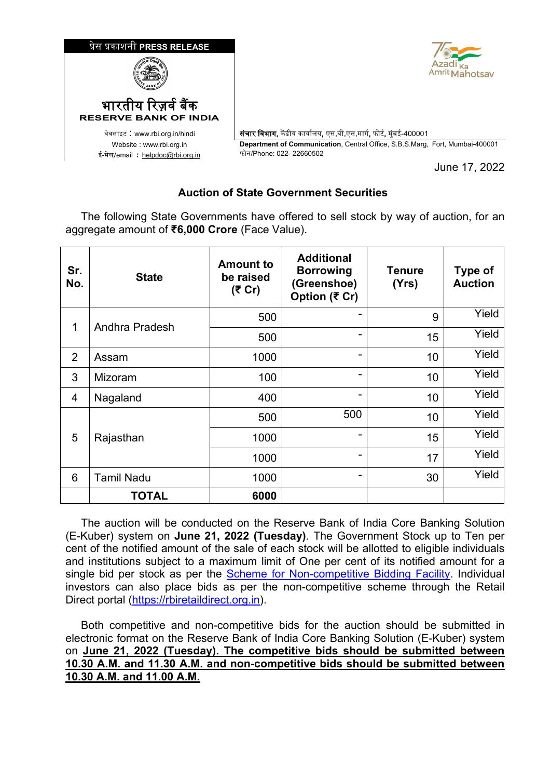

June 17, 2022

## **Auction of State Government Securities**

 The following State Governments have offered to sell stock by way of auction, for an aggregate amount of **₹6,000 Crore** (Face Value).

| Sr.<br>No. | <b>State</b>      | <b>Amount to</b><br>be raised<br>(₹ Cr) | <b>Additional</b><br><b>Borrowing</b><br>(Greenshoe)<br>Option (₹ Cr) | <b>Tenure</b><br>(Yrs) | <b>Type of</b><br><b>Auction</b> |
|------------|-------------------|-----------------------------------------|-----------------------------------------------------------------------|------------------------|----------------------------------|
| 1          | Andhra Pradesh    | 500                                     |                                                                       | 9                      | Yield                            |
|            |                   | 500                                     |                                                                       | 15                     | Yield                            |
| 2          | Assam             | 1000                                    | -                                                                     | 10                     | Yield                            |
| 3          | Mizoram           | 100                                     | -                                                                     | 10                     | Yield                            |
| 4          | Nagaland          | 400                                     | ۰                                                                     | 10                     | Yield                            |
| 5          | Rajasthan         | 500                                     | 500                                                                   | 10                     | Yield                            |
|            |                   | 1000                                    | ۰                                                                     | 15                     | Yield                            |
|            |                   | 1000                                    | ۰                                                                     | 17                     | Yield                            |
| 6          | <b>Tamil Nadu</b> | 1000                                    | -                                                                     | 30                     | Yield                            |
|            | <b>TOTAL</b>      | 6000                                    |                                                                       |                        |                                  |

 The auction will be conducted on the Reserve Bank of India Core Banking Solution (E-Kuber) system on **June 21, 2022 (Tuesday)**. The Government Stock up to Ten per cent of the notified amount of the sale of each stock will be allotted to eligible individuals and institutions subject to a maximum limit of One per cent of its notified amount for a single bid per stock as per the [Scheme for Non-competitive Bidding Facility.](https://www.rbi.org.in/Scripts/NotificationUser.aspx?Id=11725&&Mode=0) Individual investors can also place bids as per the non-competitive scheme through the Retail Direct portal [\(https://rbiretaildirect.org.in\)](https://rbiretaildirect.org.in/).

 Both competitive and non-competitive bids for the auction should be submitted in electronic format on the Reserve Bank of India Core Banking Solution (E-Kuber) system on **June 21, 2022 (Tuesday). The competitive bids should be submitted between 10.30 A.M. and 11.30 A.M. and non-competitive bids should be submitted between 10.30 A.M. and 11.00 A.M.**